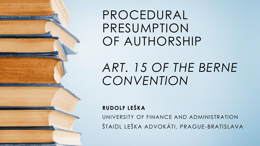PROCEDURAL PRESUMPTION OF AUTHORSHIP

# *ART. 15 OF THE BERNE CONVENTION*

**RUDOLF LEŠKA**

UNIVERSITY OF FINANCE AND ADMINISTRATION ŠTAIDL LEŠKA ADVOKÁTI, PRAGUE-BRATISLAVA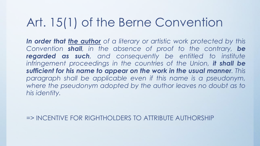### Art. 15(1) of the Berne Convention

*In order that the author of a literary or artistic work protected by this Convention shall, in the absence of proof to the contrary, be regarded as such, and consequently be entitled to institute infringement proceedings in the countries of the Union, it shall be sufficient for his name to appear on the work in the usual manner. This paragraph shall be applicable even if this name is a pseudonym, where the pseudonym adopted by the author leaves no doubt as to his identity.*

=> INCENTIVE FOR RIGHTHOLDERS TO ATTRIBUTE AUTHORSHIP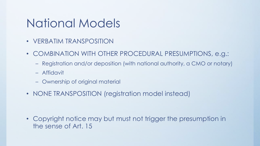#### National Models

- VERBATIM TRANSPOSITION
- COMBINATION WITH OTHER PROCEDURAL PRESUMPTIONS, e.g.:
	- Registration and/or deposition (with national authority, a CMO or notary)
	- Affidavit
	- Ownership of original material
- NONE TRANSPOSITION (registration model instead)

• Copyright notice may but must not trigger the presumption in the sense of Art. 15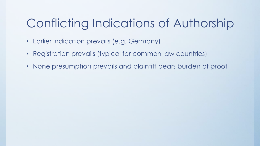# Conflicting Indications of Authorship

- Earlier indication prevails (e.g. Germany)
- Registration prevails (typical for common law countries)
- None presumption prevails and plaintiff bears burden of proof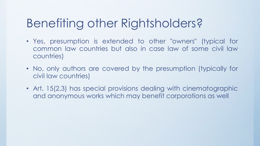# Benefiting other Rightsholders?

- Yes, presumption is extended to other "owners" (typical for common law countries but also in case law of some civil law countries)
- No, only authors are covered by the presumption (typically for civil law countries)
- Art. 15(2,3) has special provisions dealing with cinematographic and anonymous works which may benefit corporations as well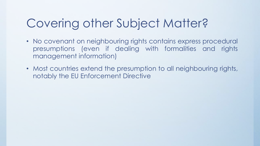# Covering other Subject Matter?

- No covenant on neighbouring rights contains express procedural presumptions (even if dealing with formalities and rights management information)
- Most countries extend the presumption to all neighbouring rights, notably the EU Enforcement Directive